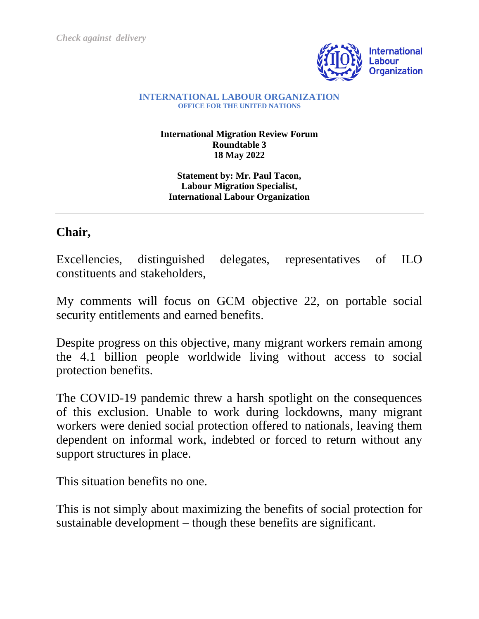

**International** Labour **Organization** 

## **INTERNATIONAL LABOUR ORGANIZATION OFFICE FOR THE UNITED NATIONS**

**International Migration Review Forum Roundtable 3 18 May 2022**

**Statement by: Mr. Paul Tacon, Labour Migration Specialist, International Labour Organization**

## **Chair,**

Excellencies, distinguished delegates, representatives of ILO constituents and stakeholders,

My comments will focus on GCM objective 22, on portable social security entitlements and earned benefits.

Despite progress on this objective, many migrant workers remain among the 4.1 billion people worldwide living without access to social protection benefits.

The COVID-19 pandemic threw a harsh spotlight on the consequences of this exclusion. Unable to work during lockdowns, many migrant workers were denied social protection offered to nationals, leaving them dependent on informal work, indebted or forced to return without any support structures in place.

This situation benefits no one.

This is not simply about maximizing the benefits of social protection for sustainable development – though these benefits are significant.